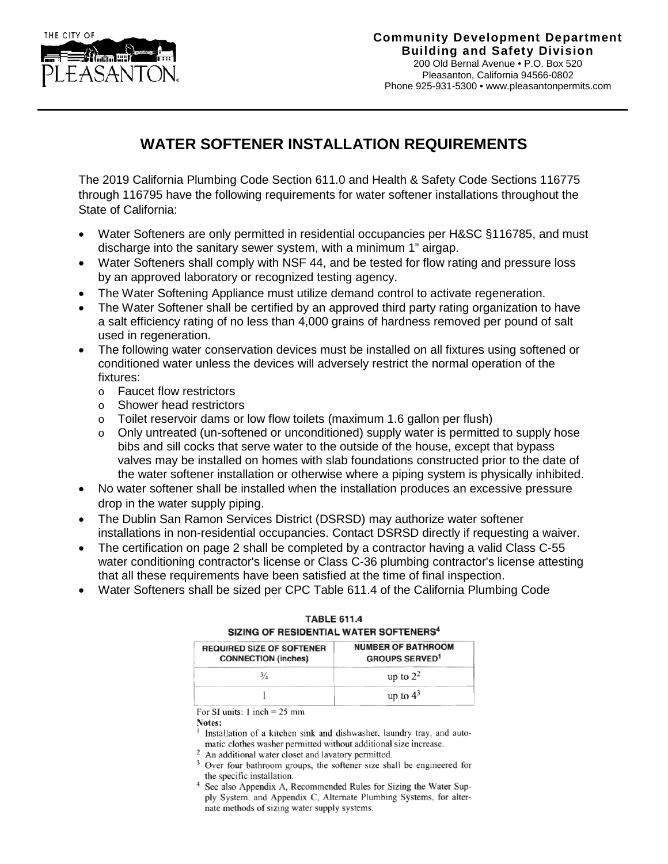

## **WATER SOFTENER INSTALLATION REQUIREMENTS**

The 2019 California Plumbing Code Section 611.0 and Health & Safety Code Sections 116775 through 116795 have the following requirements for water softener installations throughout the State of California:

- Water Softeners are only permitted in residential occupancies per H&SC §116785, and must discharge into the sanitary sewer system, with a minimum 1" airgap.
- Water Softeners shall comply with NSF 44, and be tested for flow rating and pressure loss by an approved laboratory or recognized testing agency.
- The Water Softening Appliance must utilize demand control to activate regeneration.
- The Water Softener shall be certified by an approved third party rating organization to have a salt efficiency rating of no less than 4,000 grains of hardness removed per pound of salt used in regeneration.
- The following water conservation devices must be installed on all fixtures using softened or conditioned water unless the devices will adversely restrict the normal operation of the fixtures:
	- o Faucet flow restrictors
	- o Shower head restrictors
	- $\circ$  Toilet reservoir dams or low flow toilets (maximum 1.6 gallon per flush)
	- $\circ$  Only untreated (un-softened or unconditioned) supply water is permitted to supply hose bibs and sill cocks that serve water to the outside of the house, except that bypass valves may be installed on homes with slab foundations constructed prior to the date of the water softener installation or otherwise where a piping system is physically inhibited.
- No water softener shall be installed when the installation produces an excessive pressure drop in the water supply piping.
- The Dublin San Ramon Services District (DSRSD) may authorize water softener installations in non-residential occupancies. Contact DSRSD directly if requesting a waiver.
- The certification on page 2 shall be completed by a contractor having a valid Class C-55 water conditioning contractor's license or Class C-36 plumbing contractor's license attesting that all these requirements have been satisfied at the time of final inspection.
- Water Softeners shall be sized per CPC Table 611.4 of the California Plumbing Code

| SIZING OF RESIDENTIAL WATER SOFTENERS                          |                                                    |
|----------------------------------------------------------------|----------------------------------------------------|
| <b>REQUIRED SIZE OF SOFTENER</b><br><b>CONNECTION (inches)</b> | <b>NUMBER OF BATHROOM</b><br><b>GROUPS SERVED1</b> |
| $\frac{3}{4}$                                                  | up to $2^2$                                        |
|                                                                | up to $4^3$                                        |

| <b>TABLE 611.4</b>                                 |  |  |
|----------------------------------------------------|--|--|
| SIZING OF RESIDENTIAL WATER SOFTENERS <sup>4</sup> |  |  |

For SI units:  $1$  inch = 25 mm

Notes:

Installation of a kitchen sink and dishwasher, laundry tray, and automatic clothes washer permitted without additional size increase.

- 2 An additional water closet and lavatory permitted.
- <sup>3</sup> Over four bathroom groups, the softener size shall be engineered for the specific installation.
- See also Appendix A, Recommended Rules for Sizing the Water Supply System, and Appendix C, Alternate Plumbing Systems, for alternate methods of sizing water supply systems.